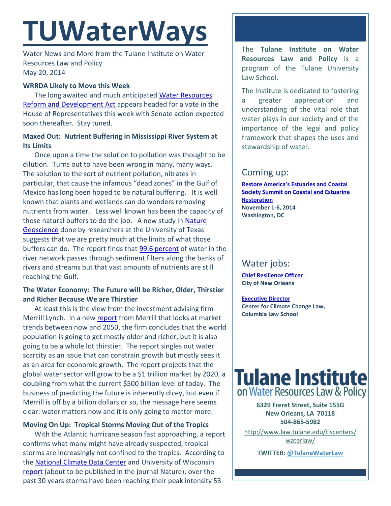# **TUWaterWays**

Water News and More from the Tulane Institute on Water Resources Law and Policy May 20, 2014

## **WRRDA Likely to Move this Week**

The long awaited and much anticipated [Water Resources](http://transportation.house.gov/uploadedfiles/wrrda_conference_report.pdf)  [Reform and Development Act](http://transportation.house.gov/uploadedfiles/wrrda_conference_report.pdf) appears headed for a vote in the House of Representatives this week with Senate action expected soon thereafter. Stay tuned.

## **Maxed Out: Nutrient Buffering in Mississippi River System at Its Limits**

Once upon a time the solution to pollution was thought to be dilution. Turns out to have been wrong in many, many ways. The solution to the sort of nutrient pollution, nitrates in particular, that cause the infamous "dead zones" in the Gulf of Mexico has long been hoped to be natural buffering. It is well known that plants and wetlands can do wonders removing nutrients from water. Less well known has been the capacity of those natural buffers to do the job. A new study in [Nature](http://www.nature.com/ngeo/journal/vaop/ncurrent/full/ngeo2157.html)  [Geoscience](http://www.nature.com/ngeo/journal/vaop/ncurrent/full/ngeo2157.html) done by researchers at the University of Texas suggests that we are pretty much at the limits of what those buffers can do. The report finds that **99.6 percent** of water in the river network passes through sediment filters along the banks of rivers and streams but that vast amounts of nutrients are still reaching the Gulf.

# **The Water Economy: The Future will be Richer, Older, Thirstier and Richer Because We are Thirstier**

At least this is the view from the investment advising firm Merrill Lynch. In a new [report](http://about.bankofamerica.com/assets/pdf/A_Transforming_World_Whitepaper.pdf) from Merrill that looks at market trends between now and 2050, the firm concludes that the world population is going to get mostly older and richer, but it is also going to be a whole lot thirstier. The report singles out water scarcity as an issue that can constrain growth but mostly sees it as an area for economic growth. The report projects that the global water sector will grow to be a \$1 trillion market by 2020, a doubling from what the current \$500 billion level of today. The business of predicting the future is inherently dicey, but even if Merrill is off by a billion dollars or so, the message here seems clear: water matters now and it is only going to matter more.

## **Moving On Up: Tropical Storms Moving Out of the Tropics**

With the Atlantic hurricane season fast approaching, a report confirms what many might have already suspected, tropical storms are increasingly not confined to the tropics. According to the [National Climate Data Center](http://www.ncdc.noaa.gov/) and University of Wisconsin [report](http://www.ncdc.noaa.gov/news/tropical-cyclone-%E2%80%9Cmaximum-intensity%E2%80%9D-shifting-toward-poles) (about to be published in the journal Nature), over the past 30 years storms have been reaching their peak intensity 53

The **Tulane Institute on Water Resources Law and Policy** is a program of the Tulane University Law School.

The Institute is dedicated to fostering a greater appreciation and understanding of the vital role that water plays in our society and of the importance of the legal and policy framework that shapes the uses and stewardship of water.

# Coming up:

**[Restore America's Estuaries and Coastal](http://r20.rs6.net/tn.jsp?f=0012iufhQITsCGpmic7Nj0W1INi8-6h80uescyOvfS_bUMX-e_StguS58p5EHh6nRgEmQNhq-IEmHfNI66r1WLUI1nmVYTd3If6B4-ZKjflPH2cZPZ528UxKk004cWieAbuKn8kMmuGt7xkzSf_c1RUYplspmEGAxwxZCHUx7hzNHc=&c=3B5vsP5Gpxft541Pxo12cjeRrFLjmc8b5erclL2Atj1KAgmybibFyw==&ch=lOjBhN14duvjTvW9T_cXNaf8o7Y3dN3YSL3BBwkYtqxDV6sYZHStiA==)  [Society Summit on Coastal and Estuarine](http://r20.rs6.net/tn.jsp?f=0012iufhQITsCGpmic7Nj0W1INi8-6h80uescyOvfS_bUMX-e_StguS58p5EHh6nRgEmQNhq-IEmHfNI66r1WLUI1nmVYTd3If6B4-ZKjflPH2cZPZ528UxKk004cWieAbuKn8kMmuGt7xkzSf_c1RUYplspmEGAxwxZCHUx7hzNHc=&c=3B5vsP5Gpxft541Pxo12cjeRrFLjmc8b5erclL2Atj1KAgmybibFyw==&ch=lOjBhN14duvjTvW9T_cXNaf8o7Y3dN3YSL3BBwkYtqxDV6sYZHStiA==)  [Restoration](http://r20.rs6.net/tn.jsp?f=0012iufhQITsCGpmic7Nj0W1INi8-6h80uescyOvfS_bUMX-e_StguS58p5EHh6nRgEmQNhq-IEmHfNI66r1WLUI1nmVYTd3If6B4-ZKjflPH2cZPZ528UxKk004cWieAbuKn8kMmuGt7xkzSf_c1RUYplspmEGAxwxZCHUx7hzNHc=&c=3B5vsP5Gpxft541Pxo12cjeRrFLjmc8b5erclL2Atj1KAgmybibFyw==&ch=lOjBhN14duvjTvW9T_cXNaf8o7Y3dN3YSL3BBwkYtqxDV6sYZHStiA==) November 1-6, 2014 Washington, DC**

# Water jobs:

**[Chief Resilience Officer](http://www.nola.gov/jobs/) City of New Orleans** 

**[Executive Director](http://web.law.columbia.edu/sites/default/files/microsites/climate-change/cccl_executive_director_job_announcement_east_67404472_1.pdf) Center for Climate Change Law, Columbia Law School**



**6329 Freret Street, Suite 155G New Orleans, LA 70118 504-865-5982** 

[http://www.law.tulane.edu/tlscenters/](http://www.law.tulane.edu/tlscenters/waterlaw/) [waterlaw/](http://www.law.tulane.edu/tlscenters/waterlaw/)

**TWITTER[: @TulaneWaterLaw](http://www.twitter.com/TulaneWaterLaw)**